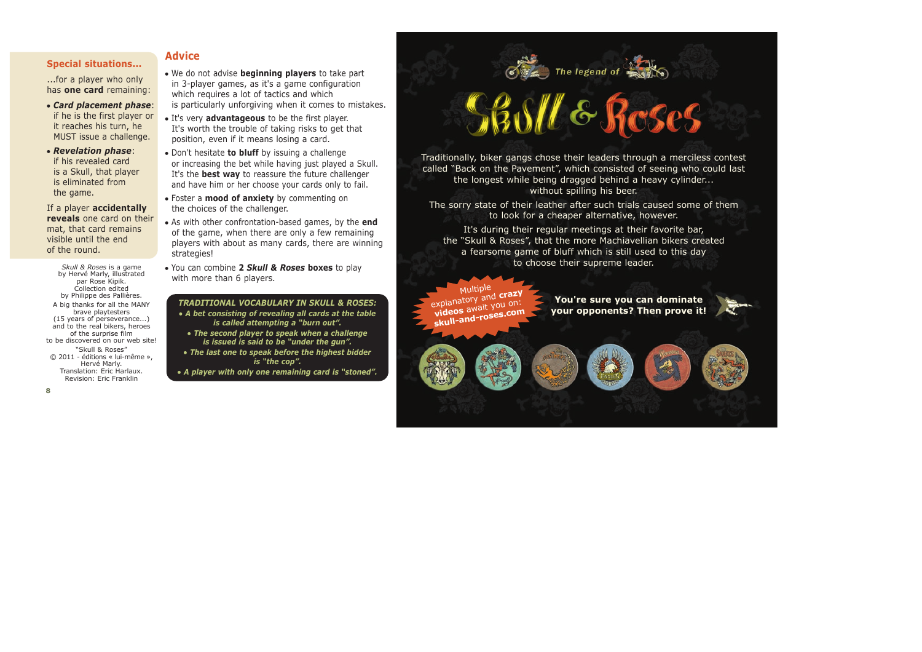#### **Special situations...**

...for a player who only has **one card** remaining:

- <sup>O</sup> *Card placement phase*: if he is the first player or it reaches his turn, he MUST issue a challenge.
- <sup>O</sup> *Revelation phase*: if his revealed card is a Skull, that player is eliminated from the game.

If a player **accidentally reveals** one card on their mat, that card remains visible until the end of the round.

*Skull & Roses* is a game by Hervé Marly, illustrated par Rose Kipik. Collection edited by Philippe des Pallières. A big thanks for all the MANY brave playtesters (15 years of perseverance...) and to the real bikers, heroes of the surprise film to be discovered on our web site! "Skull & Roses"

© 2011 - éditions « lui-même », Hervé Marly. Translation: Eric Harlaux. Revision: Eric Franklin

# **Advice**

- We do not advise **beginning players** to take part in 3-player games, as it's a game configuration which requires a lot of tactics and which is particularly unforgiving when it comes to mistakes.
- It's very **advantageous** to be the first player. It's worth the trouble of taking risks to get that position, even if it means losing a card.
- Don't hesitate **to bluff** by issuing a challenge or increasing the bet while having just played a Skull. It's the **best way** to reassure the future challenger and have him or her choose your cards only to fail.
- Foster a **mood of anxiety** by commenting on the choices of the challenger.
- As with other confrontation-based games, by the **end** of the game, when there are only a few remaining players with about as many cards, there are winning strategies!
- You can combine 2 *Skull & Roses* boxes to play with more than 6 players.

*TRADITIONAL VOCABULARY IN SKULL & ROSES:* <sup>O</sup> *A bet consisting of revealing all cards at the table is called attempting a "burn out".*

<sup>O</sup> *The second player to speak when a challenge is issued is said to be "under the gun".*

<sup>O</sup> *The last one to speak before the highest bidder is "the cop".*

<sup>O</sup> *A player with only one remaining card is "stoned".*

# **Sastle Reses**

The legend of

Traditionally, biker gangs chose their leaders through a merciless contest called "Back on the Pavement", which consisted of seeing who could last the longest while being dragged behind a heavy cylinder... without spilling his beer.

The sorry state of their leather after such trials caused some of them to look for a cheaper alternative, however.

It's during their regular meetings at their favorite bar, the "Skull & Roses", that the more Machiavellian bikers created a fearsome game of bluff which is still used to this day to choose their supreme leader.

Multiple explanatory and **crazy**<br>explanatory and crazy xplanatory it you on:<br>**videos** await you on: **skull-and-roses.com**

**You're sure you can dominate your opponents? Then prove it!**

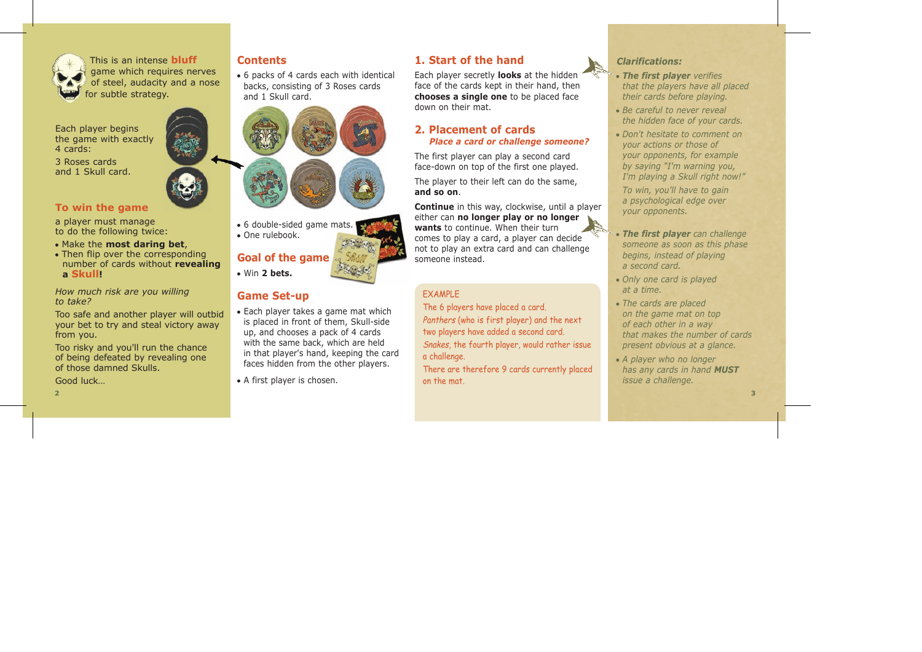

This is an intense **bluff** game which requires nerves of steel, audacity and a nose for subtle strategy.

Each player begins the game with exactly 4 cards:

3 Roses cards and 1 Skull card.

#### **To win the game**

a player must manage to do the following twice:

- Make the **most daring bet**,
- $\bullet$  Then flip over the corresponding number of cards without **revealing a Skull!**

*How much risk are you willing to take?*

Too safe and another player will outbid your bet to try and steal victory away from you.

Too risky and you'll run the chance of being defeated by revealing one of those damned Skulls.

Good luck…

 $\bullet$  6 packs of 4 cards each with identical backs, consisting of 3 Roses cards and 1 Skull card.



• 6 double-sided game mats. <sup>O</sup> One rulebook.

**Goal of the game**  $\bullet$  Win 2 hets.

# **Game Set-up**

- $\bullet$  Each player takes a game mat which is placed in front of them, Skull-side up, and chooses a pack of 4 cards with the same back, which are held in that player's hand, keeping the card faces hidden from the other players.
- A first player is chosen.

# **1. Start of the hand Contents** *Clarifications:*

Each player secretly **looks** at the hidden face of the cards kept in their hand, then **chooses a single one** to be placed face down on their mat.

## **2. Placement of cards** *Place a card or challenge someone?*

The first player can play a second card face-down on top of the first one played.

The player to their left can do the same. **and so on**.

**Continue** in this way, clockwise, until a player either can **no longer play or no longer wants** to continue. When their turn comes to play a card, a player can decide not to play an extra card and can challenge someone instead.

## EXAMPLE

The 6 players have placed a card. Panthers (who is first player) and the next two players have added a second card. Snakes, the fourth player, would rather issue a challenge.

There are therefore 9 cards currently placed on the mat.



- <sup>O</sup> *The first player verifies that the players have all placed their cards before playing.*
- Be careful to never reveal *the hidden face of your cards.*
- <sup>O</sup> *Don't hesitate to comment on your actions or those of your opponents, for example by saying "I'm warning you, I'm playing a Skull right now!"*

*To win, you'll have to gain a psychological edge over your opponents.*

- The first player can challenge *someone as soon as this phase begins, instead of playing a second card.*
- <sup>O</sup> *Only one card is played at a time.*
- <sup>O</sup> *The cards are placed on the game mat on top of each other in a way that makes the number of cards present obvious at a glance.*
- <sup>O</sup> *A player who no longer has any cards in hand MUST issue a challenge.*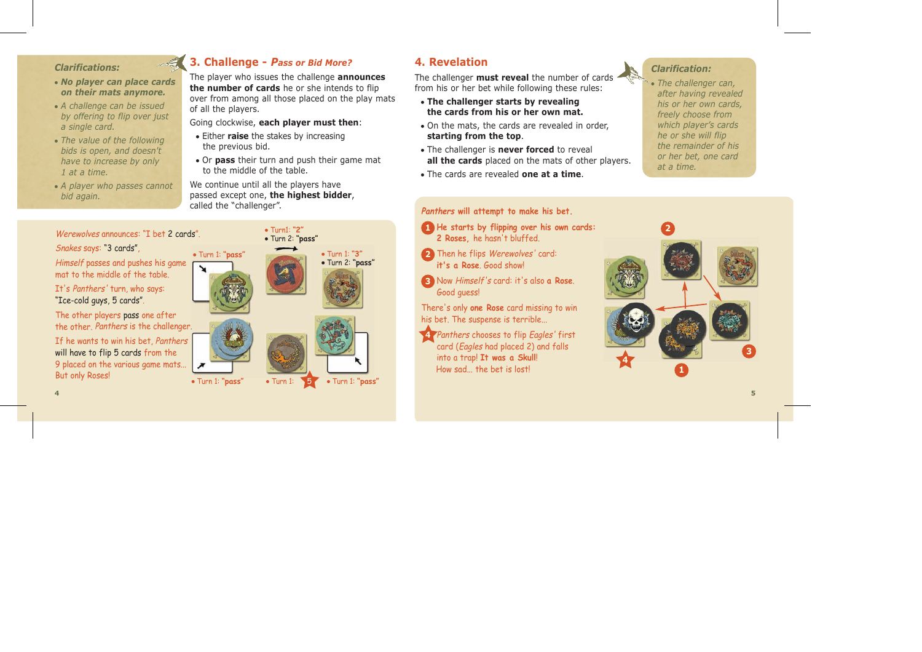#### *Clarifications:*

- No player can place cards *on their mats anymore.*
- <sup>O</sup> *A challenge can be issued by offering to flip over just a single card.*
- The value of the following *bids is open, and doesn't have to increase by only 1 at a time.*
- A player who passes cannot *bid again.*



The player who issues the challenge **announces the number of cards** he or she intends to flip over from among all those placed on the play mats of all the players.

Going clockwise, **each player must then**:

- **Either raise the stakes by increasing** the previous bid.
- Or **pass** their turn and push their game mat to the middle of the table.

We continue until all the players have passed except one, **the highest bidder**, called the "challenger".

Werewolves announces: "I het 2 cards" Snakes says: "3 cards", Himself passes and pushes his game mat to the middle of the table. It's Panthers' turn, who says: "Ice-cold guys, 5 cards". The other players pass one after the other. Panthers is the challenger. If he wants to win his bet, Panthers will have to flip 5 cards from the 9 placed on the various game mats... But only Roses! <sup>O</sup> Turn 1: **"pass" 4 5**



# **4. Revelation**

The challenger **must reveal** the number of cards from his or her bet while following these rules:

- <sup>O</sup> **The challenger starts by revealing the cards from his or her own mat.**
- On the mats, the cards are revealed in order, **starting from the top**.
- The challenger is **never forced** to reveal **all the cards** placed on the mats of other players.
- <sup>O</sup> The cards are revealed **one at a time**.

#### *Clarification:*

• The challenger can, *after having revealed his or her own cards, freely choose from which player's cards he or she will flip the remainder of his or her bet, one card at a time.*

#### **Panthers will attempt to make his bet.**

- **1 He starts by flipping over his own cards: 2 Roses,** he hasn't bluffed.
- **2** Then he flips Werewolves' card: **it's a Rose**. Good show!
- **3** Now Himself's card: it's also **a Rose**. Good guess!

There's only **one Rose** card missing to win his bet. The suspense is terrible...

Panthers chooses to flip Eagles' first card (Eagles had placed 2) and falls into a trap! **It was a Skull**! How sad the bet is lost **4**